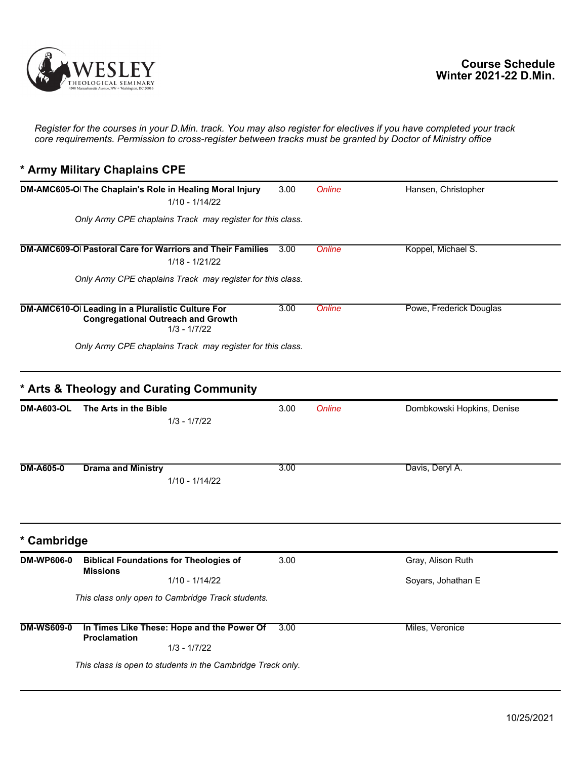

*Register for the courses in your D.Min. track. You may also register for electives if you have completed your track core requirements. Permission to cross-register between tracks must be granted by Doctor of Ministry office*

## **\* Army Military Chaplains CPE**

|                   | DM-AMC605-O The Chaplain's Role in Healing Moral Injury<br>$1/10 - 1/14/22$                                     | 3.00 | Online | Hansen, Christopher        |
|-------------------|-----------------------------------------------------------------------------------------------------------------|------|--------|----------------------------|
|                   | Only Army CPE chaplains Track may register for this class.                                                      |      |        |                            |
|                   | DM-AMC609-O Pastoral Care for Warriors and Their Families<br>$1/18 - 1/21/22$                                   | 3.00 | Online | Koppel, Michael S.         |
|                   | Only Army CPE chaplains Track may register for this class.                                                      |      |        |                            |
|                   | DM-AMC610-O Leading in a Pluralistic Culture For<br><b>Congregational Outreach and Growth</b><br>$1/3 - 1/7/22$ | 3.00 | Online | Powe, Frederick Douglas    |
|                   | Only Army CPE chaplains Track may register for this class.                                                      |      |        |                            |
|                   | * Arts & Theology and Curating Community                                                                        |      |        |                            |
| <b>DM-A603-OL</b> | The Arts in the Bible<br>$1/3 - 1/7/22$                                                                         | 3.00 | Online | Dombkowski Hopkins, Denise |
| <b>DM-A605-0</b>  | <b>Drama and Ministry</b><br>1/10 - 1/14/22                                                                     | 3.00 |        | Davis, Deryl A.            |
| * Cambridge       |                                                                                                                 |      |        |                            |
| <b>DM-WP606-0</b> | <b>Biblical Foundations for Theologies of</b><br><b>Missions</b>                                                | 3.00 |        | Gray, Alison Ruth          |
|                   | $1/10 - 1/14/22$                                                                                                |      |        | Soyars, Johathan E         |
|                   | This class only open to Cambridge Track students.                                                               |      |        |                            |
| <b>DM-WS609-0</b> | In Times Like These: Hope and the Power Of<br><b>Proclamation</b><br>$1/3 - 1/7/22$                             | 3.00 |        | Miles, Veronice            |
|                   | This class is open to students in the Cambridge Track only.                                                     |      |        |                            |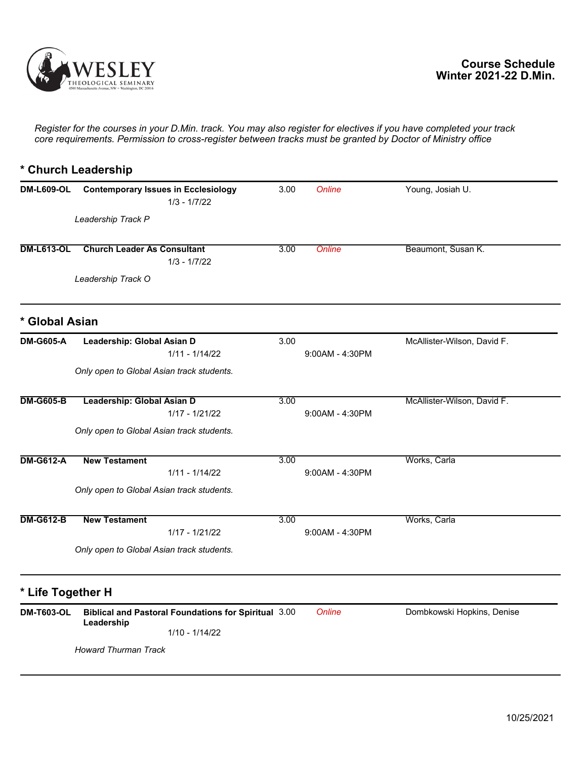

*Register for the courses in your D.Min. track. You may also register for electives if you have completed your track core requirements. Permission to cross-register between tracks must be granted by Doctor of Ministry office*

## **\* Church Leadership**

| <b>DM-L609-OL</b> | <b>Contemporary Issues in Ecclesiology</b><br>$1/3 - 1/7/22$              | 3.00 | Online            | Young, Josiah U.            |
|-------------------|---------------------------------------------------------------------------|------|-------------------|-----------------------------|
|                   | Leadership Track P                                                        |      |                   |                             |
| <b>DM-L613-OL</b> | <b>Church Leader As Consultant</b><br>$1/3 - 1/7/22$                      | 3.00 | Online            | Beaumont, Susan K.          |
|                   | Leadership Track O                                                        |      |                   |                             |
| * Global Asian    |                                                                           |      |                   |                             |
| <b>DM-G605-A</b>  | Leadership: Global Asian D<br>$1/11 - 1/14/22$                            | 3.00 | 9:00AM - 4:30PM   | McAllister-Wilson, David F. |
|                   | Only open to Global Asian track students.                                 |      |                   |                             |
| <b>DM-G605-B</b>  | Leadership: Global Asian D<br>$1/17 - 1/21/22$                            | 3.00 | $9:00AM - 4:30PM$ | McAllister-Wilson, David F. |
|                   | Only open to Global Asian track students.                                 |      |                   |                             |
| <b>DM-G612-A</b>  | <b>New Testament</b><br>$1/11 - 1/14/22$                                  | 3.00 | 9:00AM - 4:30PM   | Works, Carla                |
|                   | Only open to Global Asian track students.                                 |      |                   |                             |
| <b>DM-G612-B</b>  | <b>New Testament</b><br>1/17 - 1/21/22                                    | 3.00 | $9:00AM - 4:30PM$ | Works, Carla                |
|                   | Only open to Global Asian track students.                                 |      |                   |                             |
| * Life Together H |                                                                           |      |                   |                             |
| <b>DM-T603-OL</b> | <b>Biblical and Pastoral Foundations for Spiritual 3.00</b><br>Leadership |      | <b>Online</b>     | Dombkowski Hopkins, Denise  |
|                   | $1/10 - 1/14/22$                                                          |      |                   |                             |
|                   | <b>Howard Thurman Track</b>                                               |      |                   |                             |